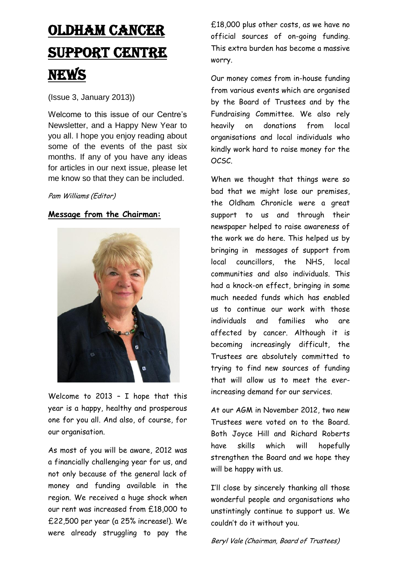# Oldham CANCER SUPPORT CENTRE **NEWS**

## (Issue 3, January 2013))

Welcome to this issue of our Centre's Newsletter, and a Happy New Year to you all. I hope you enjoy reading about some of the events of the past six months. If any of you have any ideas for articles in our next issue, please let me know so that they can be included.

### Pam Williams (Editor)

## **Message from the Chairman:**



Welcome to 2013 – I hope that this year is a happy, healthy and prosperous one for you all. And also, of course, for our organisation.

As most of you will be aware, 2012 was a financially challenging year for us, and not only because of the general lack of money and funding available in the region. We received a huge shock when our rent was increased from £18,000 to £22,500 per year (a 25% increase!). We were already struggling to pay the £18,000 plus other costs, as we have no official sources of on-going funding. This extra burden has become a massive worry.

Our money comes from in-house funding from various events which are organised by the Board of Trustees and by the Fundraising Committee. We also rely heavily on donations from local organisations and local individuals who kindly work hard to raise money for the OCSC.

When we thought that things were so bad that we might lose our premises, the Oldham Chronicle were a great support to us and through their newspaper helped to raise awareness of the work we do here. This helped us by bringing in messages of support from local councillors, the NHS, local communities and also individuals. This had a knock-on effect, bringing in some much needed funds which has enabled us to continue our work with those individuals and families who are affected by cancer. Although it is becoming increasingly difficult, the Trustees are absolutely committed to trying to find new sources of funding that will allow us to meet the everincreasing demand for our services.

At our AGM in November 2012, two new Trustees were voted on to the Board. Both Joyce Hill and Richard Roberts have skills which will hopefully strengthen the Board and we hope they will be happy with us.

I'll close by sincerely thanking all those wonderful people and organisations who unstintingly continue to support us. We couldn't do it without you.

Beryl Vale (Chairman, Board of Trustees)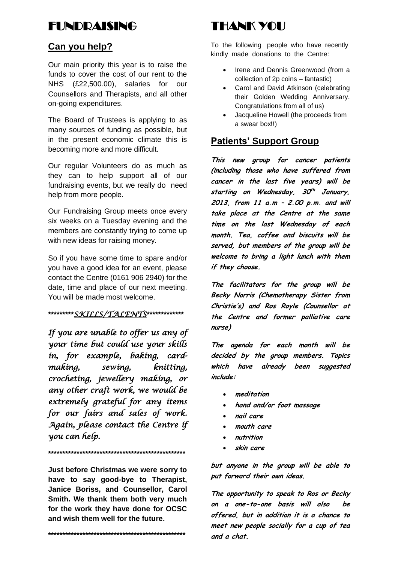# FUNDD**AISING**

## **Can you help?**

Our main priority this year is to raise the funds to cover the cost of our rent to the NHS (£22,500.00), salaries for our Counsellors and Therapists, and all other on-going expenditures.

The Board of Trustees is applying to as many sources of funding as possible, but in the present economic climate this is becoming more and more difficult.

Our regular Volunteers do as much as they can to help support all of our fundraising events, but we really do need help from more people.

Our Fundraising Group meets once every six weeks on a Tuesday evening and the members are constantly trying to come up with new ideas for raising money.

So if you have some time to spare and/or you have a good idea for an event, please contact the Centre (0161 906 2940) for the date, time and place of our next meeting. You will be made most welcome.

## **\*\*\*\*\*\*\*\*\****SKILLS/TALENTS***\*\*\*\*\*\*\*\*\*\*\*\*\***

*If you are unable to offer us any of your time but could use your skills in, for example, baking, cardmaking, sewing, knitting, crocheting, jewellery making, or any other craft work, we would be extremely grateful for any items for our fairs and sales of work. Again, please contact the Centre if you can help.* 

**Just before Christmas we were sorry to have to say good-bye to Therapist, Janice Boriss, and Counsellor, Carol Smith. We thank them both very much for the work they have done for OCSC and wish them well for the future.**

**\*\*\*\*\*\*\*\*\*\*\*\*\*\*\*\*\*\*\*\*\*\*\*\*\*\*\*\*\*\*\*\*\*\*\*\*\*\*\*\*\*\*\*\*\*\*\*\***

**\*\*\*\*\*\*\*\*\*\*\*\*\*\*\*\*\*\*\*\*\*\*\*\*\*\*\*\*\*\*\*\*\*\*\*\*\*\*\*\*\*\*\*\*\*\*\*\***

THANK YOU

To the following people who have recently kindly made donations to the Centre:

- Irene and Dennis Greenwood (from a collection of 2p coins – fantastic)
- Carol and David Atkinson (celebrating their Golden Wedding Anniversary. Congratulations from all of us)
- Jacqueline Howell (the proceeds from a swear box!!)

## **Patients' Support Group**

**This new group for cancer patients (including those who have suffered from cancer in the last five years) will be starting on Wednesday, 30 th January, 2013, from 11 a.m – 2.00 p.m. and will take place at the Centre at the same time on the last Wednesday of each month. Tea, coffee and biscuits will be served, but members of the group will be welcome to bring a light lunch with them if they choose.**

**The facilitators for the group will be Becky Norris (Chemotherapy Sister from Christie's) and Ros Royle (Counsellor at the Centre and former palliative care nurse)**

**The agenda for each month will be decided by the group members. Topics which have already been suggested include:**

- **meditation**
- **hand and/or foot massage**
- **nail care**
- **mouth care**
- **nutrition**
- **skin care**

**but anyone in the group will be able to put forward their own ideas.**

**The opportunity to speak to Ros or Becky on a one-to-one basis will also be offered, but in addition it is a chance to meet new people socially for a cup of tea and a chat.**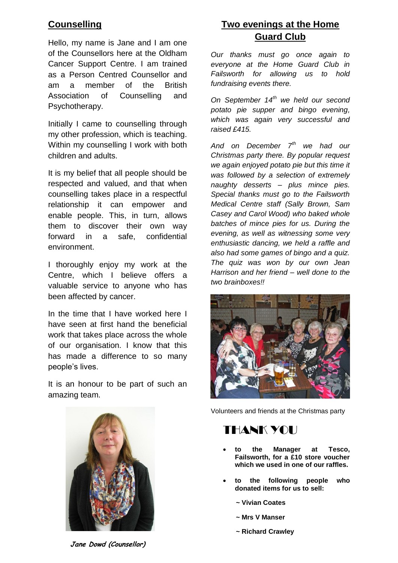## **Counselling**

Hello, my name is Jane and I am one of the Counsellors here at the Oldham Cancer Support Centre. I am trained as a Person Centred Counsellor and am a member of the British Association of Counselling and Psychotherapy.

Initially I came to counselling through my other profession, which is teaching. Within my counselling I work with both children and adults.

It is my belief that all people should be respected and valued, and that when counselling takes place in a respectful relationship it can empower and enable people. This, in turn, allows them to discover their own way forward in a safe, confidential environment.

I thoroughly enjoy my work at the Centre, which I believe offers a valuable service to anyone who has been affected by cancer.

In the time that I have worked here I have seen at first hand the beneficial work that takes place across the whole of our organisation. I know that this has made a difference to so many people's lives.

It is an honour to be part of such an amazing team.

## **Two evenings at the Home Guard Club**

*Our thanks must go once again to everyone at the Home Guard Club in Failsworth for allowing us to hold fundraising events there.*

*On September 14th we held our second potato pie supper and bingo evening, which was again very successful and raised £415.*

*And on December 7th we had our Christmas party there. By popular request we again enjoyed potato pie but this time it was followed by a selection of extremely naughty desserts – plus mince pies. Special thanks must go to the Failsworth Medical Centre staff (Sally Brown, Sam Casey and Carol Wood) who baked whole batches of mince pies for us. During the evening, as well as witnessing some very enthusiastic dancing, we held a raffle and also had some games of bingo and a quiz. The quiz was won by our own Jean Harrison and her friend – well done to the two brainboxes!!*





Volunteers and friends at the Christmas party

# THANK YOU

- **to the Manager at Tesco, Failsworth, for a £10 store voucher which we used in one of our raffles.**
- **to the following people who donated items for us to sell:**
	- **~ Vivian Coates**
	- **~ Mrs V Manser**
	- **~ Richard Crawley**

**Jane Dowd (Counsellor)**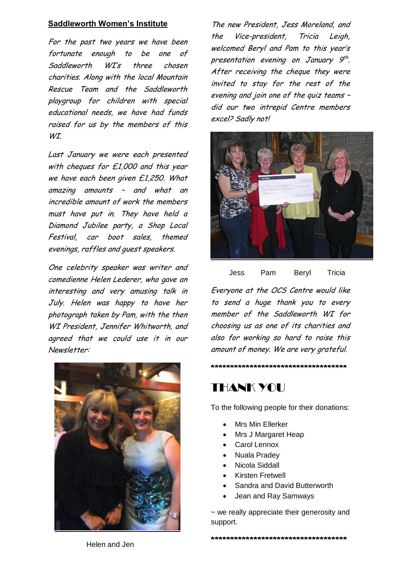### **Saddleworth Women's Institute**

For the past two years we have been fortunate enough to be one of Saddleworth WI's three chosen charities. Along with the local Mountain Rescue Team and the Saddleworth playgroup for children with special educational needs, we have had funds raised for us by the members of this WI.

Last January we were each presented with cheques for £1,000 and this year we have each been given £1,250. What amazing amounts – and what an incredible amount of work the members must have put in. They have held a Diamond Jubilee party, a Shop Local Festival, car boot sales, themed evenings, raffles and guest speakers.

One celebrity speaker was writer and comedienne Helen Lederer, who gave an interesting and very amusing talk in July. Helen was happy to have her photograph taken by Pam, with the then WI President, Jennifer Whitworth, and agreed that we could use it in our Newsletter:



The new President, Jess Moreland, and the Vice-president, Tricia Leigh, welcomed Beryl and Pam to this year's presentation evening on January 9<sup>th</sup>. After receiving the cheque they were invited to stay for the rest of the evening and join one of the quiz teams – did our two intrepid Centre members excel? Sadly not!



Jess Pam Beryl Tricia

Everyone at the OCS Centre would like to send a huge thank you to every member of the Saddleworth WI for choosing us as one of its charities and also for working so hard to raise this amount of money. We are very grateful.

**\*\*\*\*\*\*\*\*\*\*\*\*\*\*\*\*\*\*\*\*\*\*\*\*\*\*\*\*\*\*\*\*\*\*\***

## THANK YOU

To the following people for their donations:

- Mrs Min Ellerker
- Mrs J Margaret Heap
- Carol Lennox
- Nuala Pradey
- Nicola Siddall
- Kirsten Fretwell
- Sandra and David Butterworth
- Jean and Ray Samways

~ we really appreciate their generosity and support.

Helen and Jen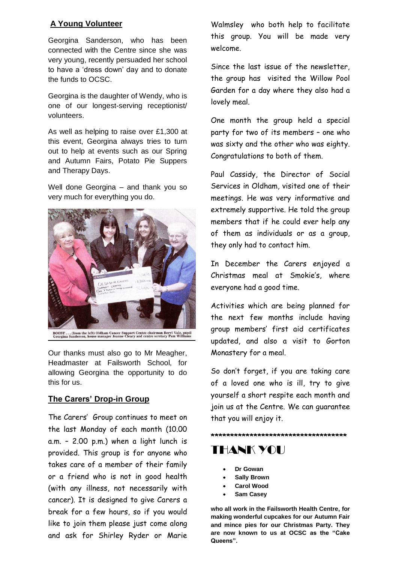## **A Young Volunteer**

Georgina Sanderson, who has been connected with the Centre since she was very young, recently persuaded her school to have a 'dress down' day and to donate the funds to OCSC.

Georgina is the daughter of Wendy, who is one of our longest-serving receptionist/ volunteers.

As well as helping to raise over £1,300 at this event, Georgina always tries to turn out to help at events such as our Spring and Autumn Fairs, Potato Pie Suppers and Therapy Days.

Well done Georgina – and thank you so very much for everything you do.



Our thanks must also go to Mr Meagher, Headmaster at Failsworth School, for allowing Georgina the opportunity to do this for us.

## **The Carers' Drop-in Group**

The Carers' Group continues to meet on the last Monday of each month (10.00 a.m. – 2.00 p.m.) when a light lunch is provided. This group is for anyone who takes care of a member of their family or a friend who is not in good health (with any illness, not necessarily with cancer). It is designed to give Carers a break for a few hours, so if you would like to join them please just come along and ask for Shirley Ryder or Marie Walmsley who both help to facilitate this group. You will be made very welcome.

Since the last issue of the newsletter, the group has visited the Willow Pool Garden for a day where they also had a lovely meal.

One month the group held a special party for two of its members – one who was sixty and the other who was eighty. Congratulations to both of them.

Paul Cassidy, the Director of Social Services in Oldham, visited one of their meetings. He was very informative and extremely supportive. He told the group members that if he could ever help any of them as individuals or as a group, they only had to contact him.

In December the Carers enjoyed a Christmas meal at Smokie's, where everyone had a good time.

Activities which are being planned for the next few months include having group members' first aid certificates updated, and also a visit to Gorton Monastery for a meal.

So don't forget, if you are taking care of a loved one who is ill, try to give yourself a short respite each month and join us at the Centre. We can guarantee that you will enjoy it.

**\*\*\*\*\*\*\*\*\*\*\*\*\*\*\*\*\*\*\*\*\*\*\*\*\*\*\*\*\*\*\*\*\*\*\***

# THANK YOU

- **Dr Gowan**
- **Sally Brown**
- **Carol Wood**
- **Sam Casey**

**who all work in the Failsworth Health Centre, for making wonderful cupcakes for our Autumn Fair and mince pies for our Christmas Party. They are now known to us at OCSC as the "Cake Queens".**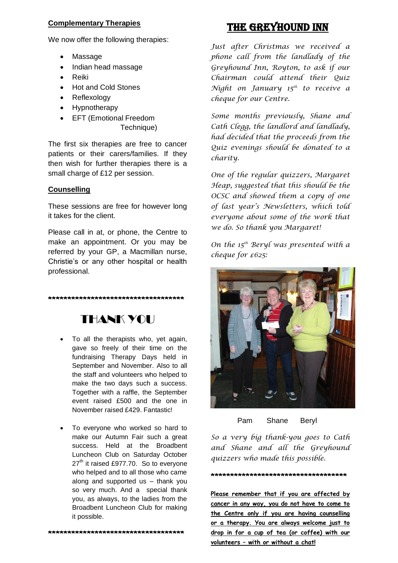### **Complementary Therapies**

We now offer the following therapies:

- Massage
- Indian head massage
- Reiki
- Hot and Cold Stones
- Reflexology
- Hypnotherapy
- **•** EFT (Emotional Freedom

Technique)

The first six therapies are free to cancer patients or their carers/families. If they then wish for further therapies there is a small charge of £12 per session.

### **Counselling**

These sessions are free for however long it takes for the client.

Please call in at, or phone, the Centre to make an appointment. Or you may be referred by your GP, a Macmillan nurse, Christie's or any other hospital or health professional.

# THANK YOU

**\*\*\*\*\*\*\*\*\*\*\*\*\*\*\*\*\*\*\*\*\*\*\*\*\*\*\*\*\*\*\*\*\*\*\***

- To all the therapists who, yet again, gave so freely of their time on the fundraising Therapy Days held in September and November. Also to all the staff and volunteers who helped to make the two days such a success. Together with a raffle, the September event raised £500 and the one in November raised £429. Fantastic!
- To everyone who worked so hard to make our Autumn Fair such a great success. Held at the Broadbent Luncheon Club on Saturday October  $27<sup>th</sup>$  it raised £977.70. So to everyone who helped and to all those who came along and supported us – thank you so very much. And a special thank you, as always, to the ladies from the Broadbent Luncheon Club for making it possible.

## The Greyhound Inn

*Just after Christmas we received a phone call from the landlady of the Greyhound Inn, Royton, to ask if our Chairman could attend their Quiz Night on January 15th to receive a cheque for our Centre.*

*Some months previously, Shane and Cath Clegg, the landlord and landlady, had decided that the proceeds from the Quiz evenings should be donated to a charity.*

*One of the regular quizzers, Margaret Heap, suggested that this should be the OCSC and showed them a copy of one of last year's Newsletters, which told everyone about some of the work that we do. So thank you Margaret!*

*On the 15th Beryl was presented with a cheque for £625:*





*So a very big thank-you goes to Cath and Shane and all the Greyhound quizzers who made this possible.*

#### **\*\*\*\*\*\*\*\*\*\*\*\*\*\*\*\*\*\*\*\*\*\*\*\*\*\*\*\*\*\*\*\*\*\*\***

**Please remember that if you are affected by cancer in any way, you do not have to come to the Centre only if you are having counselling or a therapy. You are always welcome just to drop in for a cup of tea (or coffee) with our volunteers – with or without a chat!**

**\*\*\*\*\*\*\*\*\*\*\*\*\*\*\*\*\*\*\*\*\*\*\*\*\*\*\*\*\*\*\*\*\*\*\***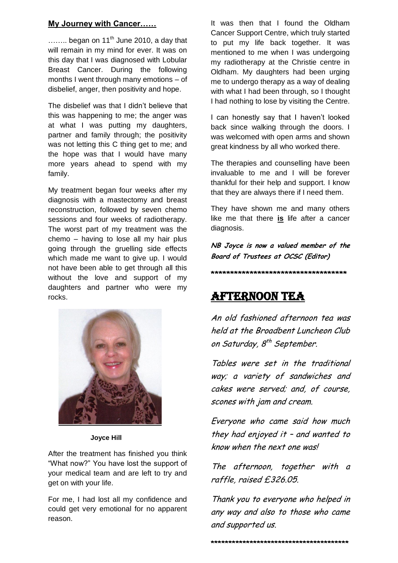## **My Journey with Cancer……**

 $\ldots$  began on 11<sup>th</sup> June 2010, a day that will remain in my mind for ever. It was on this day that I was diagnosed with Lobular Breast Cancer. During the following months I went through many emotions – of disbelief, anger, then positivity and hope.

The disbelief was that I didn't believe that this was happening to me; the anger was at what I was putting my daughters, partner and family through; the positivity was not letting this C thing get to me; and the hope was that I would have many more years ahead to spend with my family.

My treatment began four weeks after my diagnosis with a mastectomy and breast reconstruction, followed by seven chemo sessions and four weeks of radiotherapy. The worst part of my treatment was the chemo – having to lose all my hair plus going through the gruelling side effects which made me want to give up. I would not have been able to get through all this without the love and support of my daughters and partner who were my rocks.



 **Joyce Hill**

After the treatment has finished you think "What now?" You have lost the support of your medical team and are left to try and get on with your life.

For me, I had lost all my confidence and could get very emotional for no apparent reason.

It was then that I found the Oldham Cancer Support Centre, which truly started to put my life back together. It was mentioned to me when I was undergoing my radiotherapy at the Christie centre in Oldham. My daughters had been urging me to undergo therapy as a way of dealing with what I had been through, so I thought I had nothing to lose by visiting the Centre.

I can honestly say that I haven't looked back since walking through the doors. I was welcomed with open arms and shown great kindness by all who worked there.

The therapies and counselling have been invaluable to me and I will be forever thankful for their help and support. I know that they are always there if I need them.

They have shown me and many others like me that there **is** life after a cancer diagnosis.

**NB Joyce is now a valued member of the Board of Trustees at OCSC (Editor)**

**\*\*\*\*\*\*\*\*\*\*\*\*\*\*\*\*\*\*\*\*\*\*\*\*\*\*\*\*\*\*\*\*\*\*\***

## AFTERNOON TEA

An old fashioned afternoon tea was held at the Broadbent Luncheon Club on Saturday, 8<sup>th</sup> September.

Tables were set in the traditional way; a variety of sandwiches and cakes were served; and, of course, scones with jam and cream.

Everyone who came said how much they had enjoyed it – and wanted to know when the next one was!

The afternoon, together with a raffle, raised £326.05.

Thank you to everyone who helped in any way and also to those who came and supported us.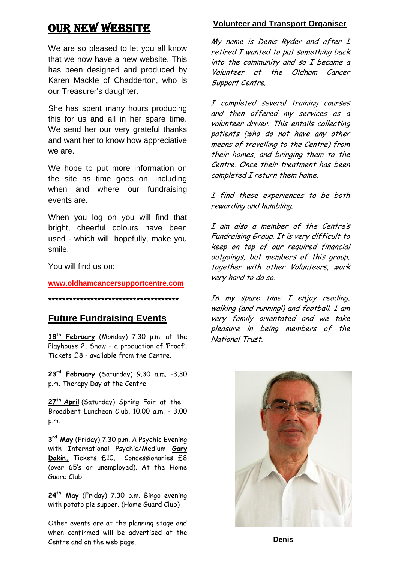## **OUR NEW WEBSITE**

We are so pleased to let you all know that we now have a new website. This has been designed and produced by Karen Mackle of Chadderton, who is our Treasurer's daughter.

She has spent many hours producing this for us and all in her spare time. We send her our very grateful thanks and want her to know how appreciative we are.

We hope to put more information on the site as time goes on, including when and where our fundraising events are.

When you log on you will find that bright, cheerful colours have been used - which will, hopefully, make you smile.

You will find us on:

**[www.oldhamcancersupportcentre.com](http://www.oldhamcancersupportcentre.com/)**

#### **\*\*\*\*\*\*\*\*\*\*\*\*\*\*\*\*\*\*\*\*\*\*\*\*\*\*\*\*\*\*\*\*\*\*\*\*\***

## **Future Fundraising Events**

**18th February** (Monday) 7.30 p.m. at the Playhouse 2, Shaw – a production of 'Proof'. Tickets £8 - available from the Centre.

**23rd February** (Saturday) 9.30 a.m. -3.30 p.m. Therapy Day at the Centre

**27th April** (Saturday) Spring Fair at the Broadbent Luncheon Club. 10.00 a.m. - 3.00 p.m.

**3 rd May** (Friday) 7.30 p.m. A Psychic Evening with International Psychic/Medium **Gary Dakin.** Tickets £10. Concessionaries £8 (over 65's or unemployed). At the Home Guard Club.

**24th May** (Friday) 7.30 p.m. Bingo evening with potato pie supper. (Home Guard Club)

Other events are at the planning stage and when confirmed will be advertised at the Centre and on the web page.

## **Volunteer and Transport Organiser**

My name is Denis Ryder and after I retired I wanted to put something back into the community and so I became a Volunteer at the Oldham Cancer Support Centre.

I completed several training courses and then offered my services as a volunteer driver. This entails collecting patients (who do not have any other means of travelling to the Centre) from their homes, and bringing them to the Centre. Once their treatment has been completed I return them home.

I find these experiences to be both rewarding and humbling.

I am also a member of the Centre's Fundraising Group. It is very difficult to keep on top of our required financial outgoings, but members of this group, together with other Volunteers, work very hard to do so.

In my spare time I enjoy reading, walking (and running!) and football. I am very family orientated and we take pleasure in being members of the National Trust.



**Denis**